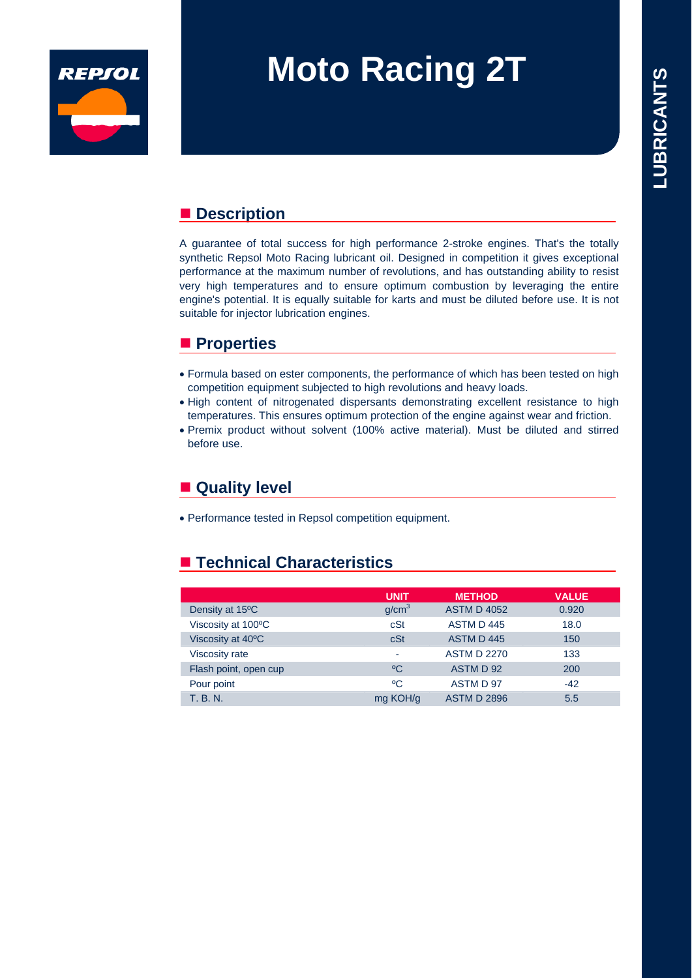

# **Moto Racing 2T**

### ■ Description

A guarantee of total success for high performance 2-stroke engines. That's the totally synthetic Repsol Moto Racing lubricant oil. Designed in competition it gives exceptional performance at the maximum number of revolutions, and has outstanding ability to resist very high temperatures and to ensure optimum combustion by leveraging the entire engine's potential. It is equally suitable for karts and must be diluted before use. It is not suitable for injector lubrication engines.

#### **Properties**

- Formula based on ester components, the performance of which has been tested on high competition equipment subjected to high revolutions and heavy loads.
- $\bullet$  High content of nitrogenated dispersants demonstrating excellent resistance to high temperatures. This ensures optimum protection of the engine against wear and friction.
- Premix product without solvent (100% active material). Must be diluted and stirred before use.

## ■ Quality level

• Performance tested in Repsol competition equipment.

### ■ Technical Characteristics

|                              | <b>UNIT</b>       | <b>METHOD</b>      | <b>VALUE</b> |
|------------------------------|-------------------|--------------------|--------------|
| Density at 15 <sup>o</sup> C | g/cm <sup>3</sup> | <b>ASTM D 4052</b> | 0.920        |
| Viscosity at 100°C           | cSt               | ASTM D 445         | 18.0         |
| Viscosity at 40°C            | cSt               | ASTM D445          | 150          |
| <b>Viscosity rate</b>        |                   | <b>ASTM D 2270</b> | 133          |
| Flash point, open cup        | °C                | ASTM D 92          | 200          |
| Pour point                   | °C                | ASTM D 97          | $-42$        |
| <b>T. B. N.</b>              | mg KOH/g          | <b>ASTM D 2896</b> | 5.5          |